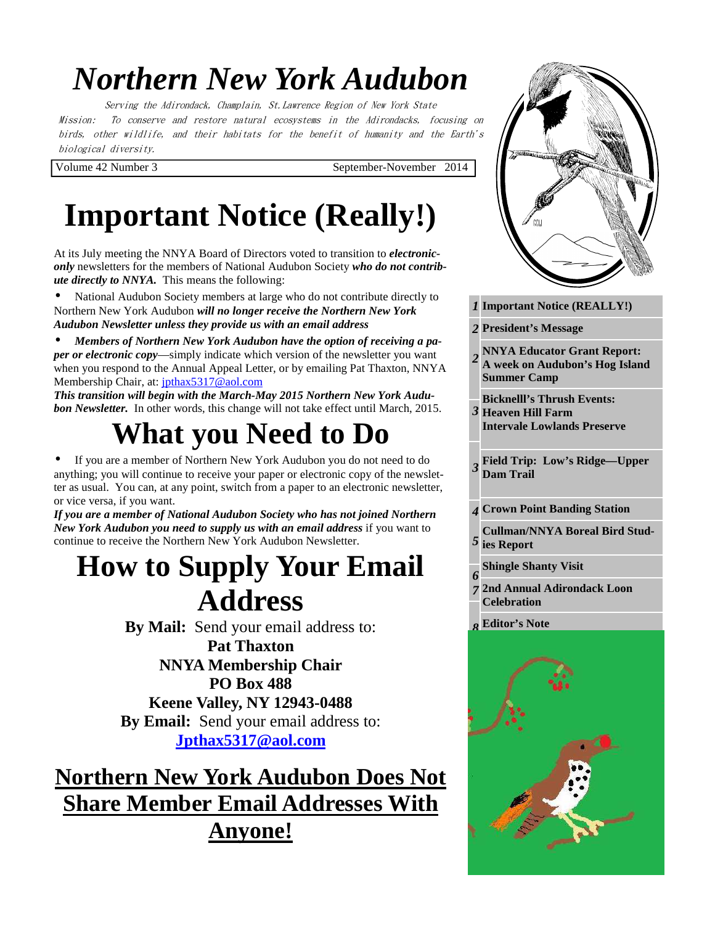# *Northern New York Audubon*

Serving the Adirondack, Champlain, St.Lawrence Region of New York State Mission: To conserve and restore natural ecosystems in the Adirondacks, focusing on birds, other wildlife, and their habitats for the benefit of humanity and the Earth's biological diversity.

Volume 42 Number 3 September-November 2014

# **Important Notice (Really!)**

At its July meeting the NNYA Board of Directors voted to transition to *electroniconly* newsletters for the members of National Audubon Society *who do not contribute directly to NNYA.* This means the following:

• National Audubon Society members at large who do not contribute directly to Northern New York Audubon *will no longer receive the Northern New York Audubon Newsletter unless they provide us with an email address*

• *Members of Northern New York Audubon have the option of receiving a paper or electronic copy***—simply indicate which version of the newsletter you want** when you respond to the Annual Appeal Letter, or by emailing Pat Thaxton, NNYA Membership Chair, at: jpthax5317@aol.com

*This transition will begin with the March-May 2015 Northern New York Audubon Newsletter.* In other words, this change will not take effect until March, 2015.

## **What you Need to Do**

• If you are a member of Northern New York Audubon you do not need to do anything; you will continue to receive your paper or electronic copy of the newsletter as usual. You can, at any point, switch from a paper to an electronic newsletter, or vice versa, if you want.

*If you are a member of National Audubon Society who has not joined Northern New York Audubon you need to supply us with an email address* if you want to continue to receive the Northern New York Audubon Newsletter.

## **How to Supply Your Email Address**

**By Mail:** Send your email address to:

**Pat Thaxton NNYA Membership Chair PO Box 488 Keene Valley, NY 12943-0488 By Email:** Send your email address to: **Jpthax5317@aol.com**

**Northern New York Audubon Does Not Share Member Email Addresses With Anyone!**



*1* **Important Notice (REALLY!)** 

*1* **President's Message**  *2* 

*3* 

*3* 

*5* 

*2* **NNYA Educator Grant Report: A week on Audubon's Hog Island Summer Camp**  *2*

*2* **Bicknelll's Thrush Events:** 

**Heaven Hill Farm Intervale Lowlands Preserve** 

*2* **Field Trip: Low's Ridge—Upper Dam Trail** 

*3* **Crown Point Banding Station**  *4* 

*3* **Cullman/NNYA Boreal Bird Studies Report** 

*3* **Shingle Shanty Visit**  *6* 

*3* **2nd Annual Adirondack Loon**  *7*  **Celebration** 

*4* **Editor's Note**  *8* 

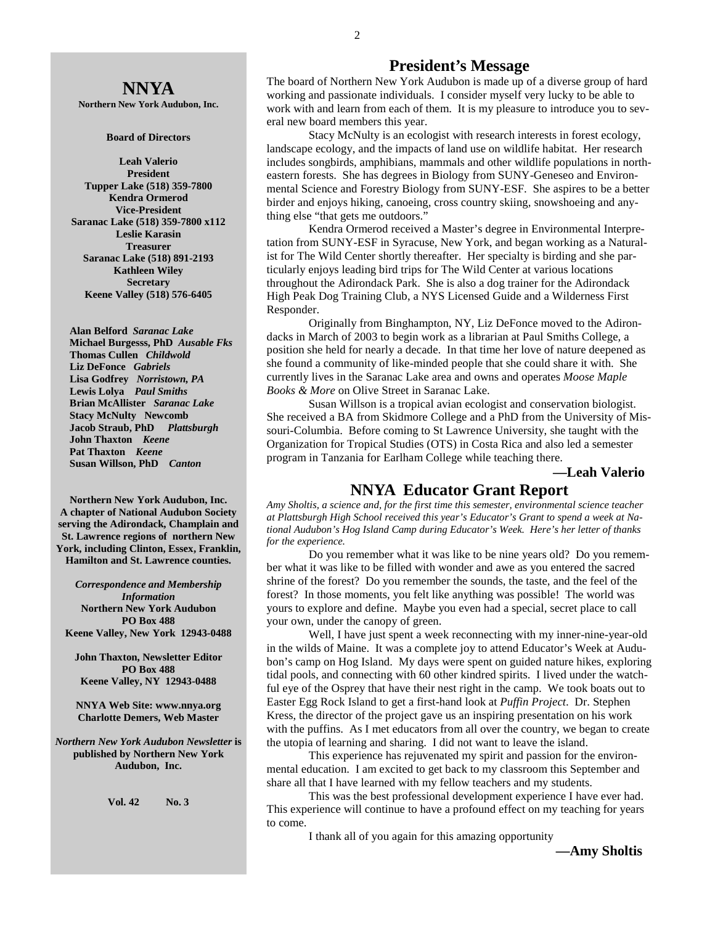**Northern New York Audubon, Inc.** 

#### **Board of Directors**

**Leah Valerio President Tupper Lake (518) 359-7800 Kendra Ormerod Vice-President Saranac Lake (518) 359-7800 x112 Leslie Karasin Treasurer Saranac Lake (518) 891-2193 Kathleen Wiley Secretary Keene Valley (518) 576-6405** 

 **Alan Belford** *Saranac Lake* **Michael Burgesss, PhD** *Ausable Fks*   **Thomas Cullen** *Childwold* **Liz DeFonce** *Gabriels* **Lisa Godfrey** *Norristown, PA* **Lewis Lolya** *Paul Smiths*  **Brian McAllister** *Saranac Lake* **Stacy McNulty Newcomb Jacob Straub, PhD** *Plattsburgh* **John Thaxton** *Keene* **Pat Thaxton** *Keene* **Susan Willson, PhD** *Canton* 

**Northern New York Audubon, Inc. A chapter of National Audubon Society serving the Adirondack, Champlain and St. Lawrence regions of northern New York, including Clinton, Essex, Franklin, Hamilton and St. Lawrence counties.** 

*Correspondence and Membership Information* **Northern New York Audubon PO Box 488 Keene Valley, New York 12943-0488** 

**John Thaxton, Newsletter Editor PO Box 488 Keene Valley, NY 12943-0488** 

**NNYA Web Site: www.nnya.org Charlotte Demers, Web Master**

*Northern New York Audubon Newsletter* **is published by Northern New York Audubon, Inc.** 

**Vol. 42 No. 3** 

### **President's Message**

The board of Northern New York Audubon is made up of a diverse group of hard working and passionate individuals. I consider myself very lucky to be able to work with and learn from each of them. It is my pleasure to introduce you to several new board members this year.

 Stacy McNulty is an ecologist with research interests in forest ecology, landscape ecology, and the impacts of land use on wildlife habitat. Her research includes songbirds, amphibians, mammals and other wildlife populations in northeastern forests. She has degrees in Biology from SUNY-Geneseo and Environmental Science and Forestry Biology from SUNY-ESF. She aspires to be a better birder and enjoys hiking, canoeing, cross country skiing, snowshoeing and anything else "that gets me outdoors."

 Kendra Ormerod received a Master's degree in Environmental Interpretation from SUNY-ESF in Syracuse, New York, and began working as a Naturalist for The Wild Center shortly thereafter. Her specialty is birding and she particularly enjoys leading bird trips for The Wild Center at various locations throughout the Adirondack Park. She is also a dog trainer for the Adirondack High Peak Dog Training Club, a NYS Licensed Guide and a Wilderness First Responder.

 Originally from Binghampton, NY, Liz DeFonce moved to the Adirondacks in March of 2003 to begin work as a librarian at Paul Smiths College, a position she held for nearly a decade. In that time her love of nature deepened as she found a community of like-minded people that she could share it with. She currently lives in the Saranac Lake area and owns and operates *Moose Maple Books & More* on Olive Street in Saranac Lake.

 Susan Willson is a tropical avian ecologist and conservation biologist. She received a BA from Skidmore College and a PhD from the University of Missouri-Columbia. Before coming to St Lawrence University, she taught with the Organization for Tropical Studies (OTS) in Costa Rica and also led a semester program in Tanzania for Earlham College while teaching there.

**—Leah Valerio** 

## **NNYA Educator Grant Report**

*Amy Sholtis, a science and, for the first time this semester, environmental science teacher at Plattsburgh High School received this year's Educator's Grant to spend a week at National Audubon's Hog Island Camp during Educator's Week. Here's her letter of thanks for the experience.* 

Do you remember what it was like to be nine years old? Do you remember what it was like to be filled with wonder and awe as you entered the sacred shrine of the forest? Do you remember the sounds, the taste, and the feel of the forest? In those moments, you felt like anything was possible! The world was yours to explore and define. Maybe you even had a special, secret place to call your own, under the canopy of green.

 Well, I have just spent a week reconnecting with my inner-nine-year-old in the wilds of Maine. It was a complete joy to attend Educator's Week at Audubon's camp on Hog Island. My days were spent on guided nature hikes, exploring tidal pools, and connecting with 60 other kindred spirits. I lived under the watchful eye of the Osprey that have their nest right in the camp. We took boats out to Easter Egg Rock Island to get a first-hand look at *Puffin Project*. Dr. Stephen Kress, the director of the project gave us an inspiring presentation on his work with the puffins. As I met educators from all over the country, we began to create the utopia of learning and sharing. I did not want to leave the island.

 This experience has rejuvenated my spirit and passion for the environmental education. I am excited to get back to my classroom this September and share all that I have learned with my fellow teachers and my students.

 This was the best professional development experience I have ever had. This experience will continue to have a profound effect on my teaching for years to come.

I thank all of you again for this amazing opportunity

**—Amy Sholtis**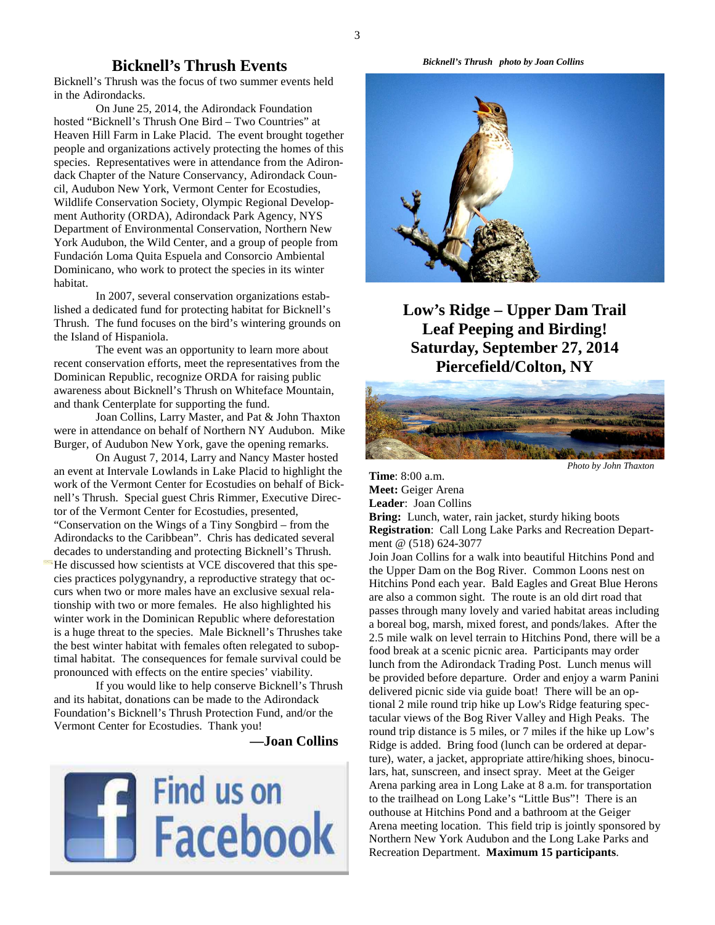## **Bicknell's Thrush Events**

Bicknell's Thrush was the focus of two summer events held in the Adirondacks.

 On June 25, 2014, the Adirondack Foundation hosted "Bicknell's Thrush One Bird – Two Countries" at Heaven Hill Farm in Lake Placid. The event brought together people and organizations actively protecting the homes of this species. Representatives were in attendance from the Adirondack Chapter of the Nature Conservancy, Adirondack Council, Audubon New York, Vermont Center for Ecostudies, Wildlife Conservation Society, Olympic Regional Development Authority (ORDA), Adirondack Park Agency, NYS Department of Environmental Conservation, Northern New York Audubon, the Wild Center, and a group of people from Fundación Loma Quita Espuela and Consorcio Ambiental Dominicano, who work to protect the species in its winter habitat.

In 2007, several conservation organizations established a dedicated fund for protecting habitat for Bicknell's Thrush. The fund focuses on the bird's wintering grounds on the Island of Hispaniola.

The event was an opportunity to learn more about recent conservation efforts, meet the representatives from the Dominican Republic, recognize ORDA for raising public awareness about Bicknell's Thrush on Whiteface Mountain, and thank Centerplate for supporting the fund.

Joan Collins, Larry Master, and Pat & John Thaxton were in attendance on behalf of Northern NY Audubon. Mike Burger, of Audubon New York, gave the opening remarks.

On August 7, 2014, Larry and Nancy Master hosted an event at Intervale Lowlands in Lake Placid to highlight the work of the Vermont Center for Ecostudies on behalf of Bicknell's Thrush. Special guest Chris Rimmer, Executive Director of the Vermont Center for Ecostudies, presented, "Conservation on the Wings of a Tiny Songbird – from the Adirondacks to the Caribbean". Chris has dedicated several decades to understanding and protecting Bicknell's Thrush. He discussed how scientists at VCE discovered that this species practices polygynandry, a reproductive strategy that occurs when two or more males have an exclusive sexual relationship with two or more females. He also highlighted his winter work in the Dominican Republic where deforestation is a huge threat to the species. Male Bicknell's Thrushes take the best winter habitat with females often relegated to suboptimal habitat. The consequences for female survival could be pronounced with effects on the entire species' viability.

If you would like to help conserve Bicknell's Thrush and its habitat, donations can be made to the Adirondack Foundation's Bicknell's Thrush Protection Fund, and/or the Vermont Center for Ecostudies. Thank you!

 **—Joan Collins** 



 *Bicknell's Thrush photo by Joan Collins* 



**Low's Ridge – Upper Dam Trail Leaf Peeping and Birding! Saturday, September 27, 2014 Piercefield/Colton, NY** 



 *Photo by John Thaxton*

**Time**: 8:00 a.m. **Meet:** Geiger Arena **Leader**: Joan Collins

**Bring:** Lunch, water, rain jacket, sturdy hiking boots **Registration**: Call Long Lake Parks and Recreation Department @ (518) 624-3077

Join Joan Collins for a walk into beautiful Hitchins Pond and the Upper Dam on the Bog River. Common Loons nest on Hitchins Pond each year. Bald Eagles and Great Blue Herons are also a common sight. The route is an old dirt road that passes through many lovely and varied habitat areas including a boreal bog, marsh, mixed forest, and ponds/lakes. After the 2.5 mile walk on level terrain to Hitchins Pond, there will be a food break at a scenic picnic area. Participants may order lunch from the Adirondack Trading Post. Lunch menus will be provided before departure. Order and enjoy a warm Panini delivered picnic side via guide boat! There will be an optional 2 mile round trip hike up Low's Ridge featuring spectacular views of the Bog River Valley and High Peaks. The round trip distance is 5 miles, or 7 miles if the hike up Low's Ridge is added. Bring food (lunch can be ordered at departure), water, a jacket, appropriate attire/hiking shoes, binoculars, hat, sunscreen, and insect spray. Meet at the Geiger Arena parking area in Long Lake at 8 a.m. for transportation to the trailhead on Long Lake's "Little Bus"! There is an outhouse at Hitchins Pond and a bathroom at the Geiger Arena meeting location. This field trip is jointly sponsored by Northern New York Audubon and the Long Lake Parks and Recreation Department. **Maximum 15 participants**.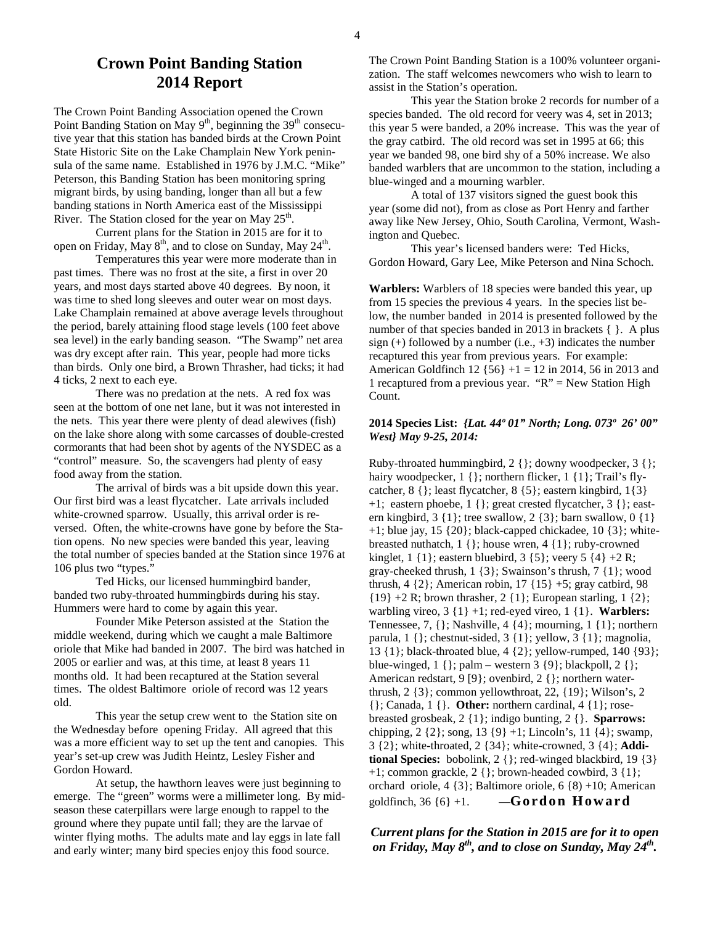## **Crown Point Banding Station 2014 Report**

The Crown Point Banding Association opened the Crown Point Banding Station on May 9<sup>th</sup>, beginning the 39<sup>th</sup> consecutive year that this station has banded birds at the Crown Point State Historic Site on the Lake Champlain New York peninsula of the same name. Established in 1976 by J.M.C. "Mike" Peterson, this Banding Station has been monitoring spring migrant birds, by using banding, longer than all but a few banding stations in North America east of the Mississippi River. The Station closed for the year on May  $25<sup>th</sup>$ .

 Current plans for the Station in 2015 are for it to open on Friday, May  $8<sup>th</sup>$ , and to close on Sunday, May  $24<sup>th</sup>$ .

 Temperatures this year were more moderate than in past times. There was no frost at the site, a first in over 20 years, and most days started above 40 degrees. By noon, it was time to shed long sleeves and outer wear on most days. Lake Champlain remained at above average levels throughout the period, barely attaining flood stage levels (100 feet above sea level) in the early banding season. "The Swamp" net area was dry except after rain. This year, people had more ticks than birds. Only one bird, a Brown Thrasher, had ticks; it had 4 ticks, 2 next to each eye.

 There was no predation at the nets. A red fox was seen at the bottom of one net lane, but it was not interested in the nets. This year there were plenty of dead alewives (fish) on the lake shore along with some carcasses of double-crested cormorants that had been shot by agents of the NYSDEC as a "control" measure. So, the scavengers had plenty of easy food away from the station.

 The arrival of birds was a bit upside down this year. Our first bird was a least flycatcher. Late arrivals included white-crowned sparrow. Usually, this arrival order is reversed. Often, the white-crowns have gone by before the Station opens. No new species were banded this year, leaving the total number of species banded at the Station since 1976 at 106 plus two "types."

 Ted Hicks, our licensed hummingbird bander, banded two ruby-throated hummingbirds during his stay. Hummers were hard to come by again this year.

 Founder Mike Peterson assisted at the Station the middle weekend, during which we caught a male Baltimore oriole that Mike had banded in 2007. The bird was hatched in 2005 or earlier and was, at this time, at least 8 years 11 months old. It had been recaptured at the Station several times. The oldest Baltimore oriole of record was 12 years old.

 This year the setup crew went to the Station site on the Wednesday before opening Friday. All agreed that this was a more efficient way to set up the tent and canopies. This year's set-up crew was Judith Heintz, Lesley Fisher and Gordon Howard.

 At setup, the hawthorn leaves were just beginning to emerge. The "green" worms were a millimeter long. By midseason these caterpillars were large enough to rappel to the ground where they pupate until fall; they are the larvae of winter flying moths. The adults mate and lay eggs in late fall and early winter; many bird species enjoy this food source.

The Crown Point Banding Station is a 100% volunteer organization. The staff welcomes newcomers who wish to learn to assist in the Station's operation.

 This year the Station broke 2 records for number of a species banded. The old record for veery was 4, set in 2013; this year 5 were banded, a 20% increase. This was the year of the gray catbird. The old record was set in 1995 at 66; this year we banded 98, one bird shy of a 50% increase. We also banded warblers that are uncommon to the station, including a blue-winged and a mourning warbler.

 A total of 137 visitors signed the guest book this year (some did not), from as close as Port Henry and farther away like New Jersey, Ohio, South Carolina, Vermont, Washington and Quebec.

 This year's licensed banders were: Ted Hicks, Gordon Howard, Gary Lee, Mike Peterson and Nina Schoch.

**Warblers:** Warblers of 18 species were banded this year, up from 15 species the previous 4 years. In the species list below, the number banded in 2014 is presented followed by the number of that species banded in 2013 in brackets  $\{ \}$ . A plus sign  $(+)$  followed by a number  $(i.e., +3)$  indicates the number recaptured this year from previous years. For example: American Goldfinch 12 {56} +1 = 12 in 2014, 56 in 2013 and 1 recaptured from a previous year. " $R$ " = New Station High Count.

#### **2014 Species List:** *{Lat. 44º 01" North; Long. 073º 26' 00" West} May 9-25, 2014:*

Ruby-throated hummingbird,  $2 \}$ ; downy woodpecker,  $3 \}$ ; hairy woodpecker, 1 { }; northern flicker, 1 { 1 }; Trail's flycatcher, 8 {}; least flycatcher, 8 {5}; eastern kingbird, 1{3} +1; eastern phoebe, 1 {}; great crested flycatcher, 3 {}; eastern kingbird,  $3 \{1\}$ ; tree swallow,  $2 \{3\}$ ; barn swallow,  $0 \{1\}$  $+1$ ; blue jay, 15  $\{20\}$ ; black-capped chickadee, 10  $\{3\}$ ; whitebreasted nuthatch, 1 {}; house wren, 4 {1}; ruby-crowned kinglet,  $1 \{1\}$ ; eastern bluebird,  $3 \{5\}$ ; veery  $5 \{4\} + 2 R$ ; gray-cheeked thrush, 1 {3}; Swainson's thrush, 7 {1}; wood thrush, 4 {2}; American robin, 17 {15} +5; gray catbird, 98  ${19} + 2 R$ ; brown thrasher,  $2 {1}$ ; European starling,  $1 {2}$ ; warbling vireo, 3 {1} +1; red-eyed vireo, 1 {1}. **Warblers:** Tennessee, 7, {}; Nashville, 4 {4}; mourning, 1 {1}; northern parula,  $1 \}$ ; chestnut-sided,  $3 \{1\}$ ; yellow,  $3 \{1\}$ ; magnolia, 13 {1}; black-throated blue, 4 {2}; yellow-rumped, 140 {93}; blue-winged,  $1 \}$ ; palm – western  $3 \{9\}$ ; blackpoll,  $2 \}$ ; American redstart, 9 [9}; ovenbird, 2 {}; northern waterthrush, 2 {3}; common yellowthroat, 22, {19}; Wilson's, 2 {}; Canada, 1 {}. **Other:** northern cardinal, 4 {1}; rosebreasted grosbeak, 2 {1}; indigo bunting, 2 {}. **Sparrows:** chipping, 2 {2}; song, 13 {9} +1; Lincoln's, 11 {4}; swamp, 3 {2}; white-throated, 2 {34}; white-crowned, 3 {4}; **Additional Species:** bobolink, 2 {}; red-winged blackbird, 19 {3} +1; common grackle, 2 {}; brown-headed cowbird, 3 {1}; orchard oriole, 4 {3}; Baltimore oriole, 6 {8) +10; American goldfinch,  $36 \{6\} + 1$ .  $\qquad -$ **Gordon Howard** 

*Current plans for the Station in 2015 are for it to open on Friday, May 8th, and to close on Sunday, May 24th .*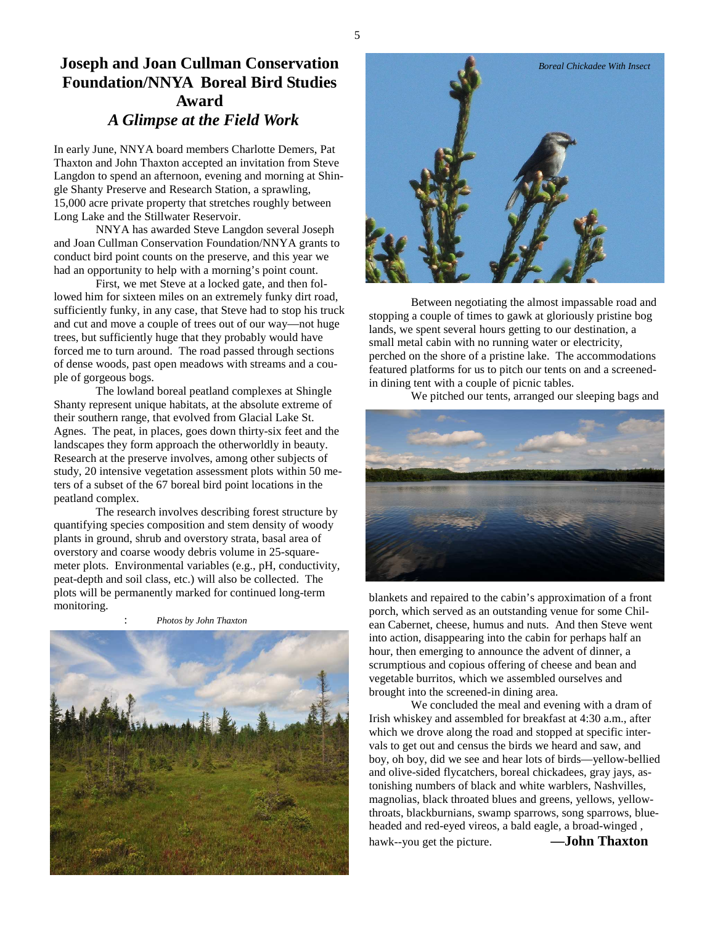## **Joseph and Joan Cullman Conservation Foundation/NNYA Boreal Bird Studies Award** *A Glimpse at the Field Work*

In early June, NNYA board members Charlotte Demers, Pat Thaxton and John Thaxton accepted an invitation from Steve Langdon to spend an afternoon, evening and morning at Shingle Shanty Preserve and Research Station, a sprawling, 15,000 acre private property that stretches roughly between Long Lake and the Stillwater Reservoir.

 NNYA has awarded Steve Langdon several Joseph and Joan Cullman Conservation Foundation/NNYA grants to conduct bird point counts on the preserve, and this year we had an opportunity to help with a morning's point count.

 First, we met Steve at a locked gate, and then followed him for sixteen miles on an extremely funky dirt road, sufficiently funky, in any case, that Steve had to stop his truck and cut and move a couple of trees out of our way—not huge trees, but sufficiently huge that they probably would have forced me to turn around. The road passed through sections of dense woods, past open meadows with streams and a couple of gorgeous bogs.

 The lowland boreal peatland complexes at Shingle Shanty represent unique habitats, at the absolute extreme of their southern range, that evolved from Glacial Lake St. Agnes. The peat, in places, goes down thirty-six feet and the landscapes they form approach the otherworldly in beauty. Research at the preserve involves, among other subjects of study, 20 intensive vegetation assessment plots within 50 meters of a subset of the 67 boreal bird point locations in the peatland complex.

 The research involves describing forest structure by quantifying species composition and stem density of woody plants in ground, shrub and overstory strata, basal area of overstory and coarse woody debris volume in 25-squaremeter plots. Environmental variables (e.g., pH, conductivity, peat-depth and soil class, etc.) will also be collected. The plots will be permanently marked for continued long-term monitoring.

: *Photos by John Thaxton* 





 Between negotiating the almost impassable road and stopping a couple of times to gawk at gloriously pristine bog lands, we spent several hours getting to our destination, a small metal cabin with no running water or electricity, perched on the shore of a pristine lake. The accommodations featured platforms for us to pitch our tents on and a screenedin dining tent with a couple of picnic tables.

We pitched our tents, arranged our sleeping bags and



blankets and repaired to the cabin's approximation of a front porch, which served as an outstanding venue for some Chilean Cabernet, cheese, humus and nuts. And then Steve went into action, disappearing into the cabin for perhaps half an hour, then emerging to announce the advent of dinner, a scrumptious and copious offering of cheese and bean and vegetable burritos, which we assembled ourselves and brought into the screened-in dining area.

 We concluded the meal and evening with a dram of Irish whiskey and assembled for breakfast at 4:30 a.m., after which we drove along the road and stopped at specific intervals to get out and census the birds we heard and saw, and boy, oh boy, did we see and hear lots of birds—yellow-bellied and olive-sided flycatchers, boreal chickadees, gray jays, astonishing numbers of black and white warblers, Nashvilles, magnolias, black throated blues and greens, yellows, yellowthroats, blackburnians, swamp sparrows, song sparrows, blueheaded and red-eyed vireos, a bald eagle, a broad-winged , hawk--you get the picture. **—John Thaxton**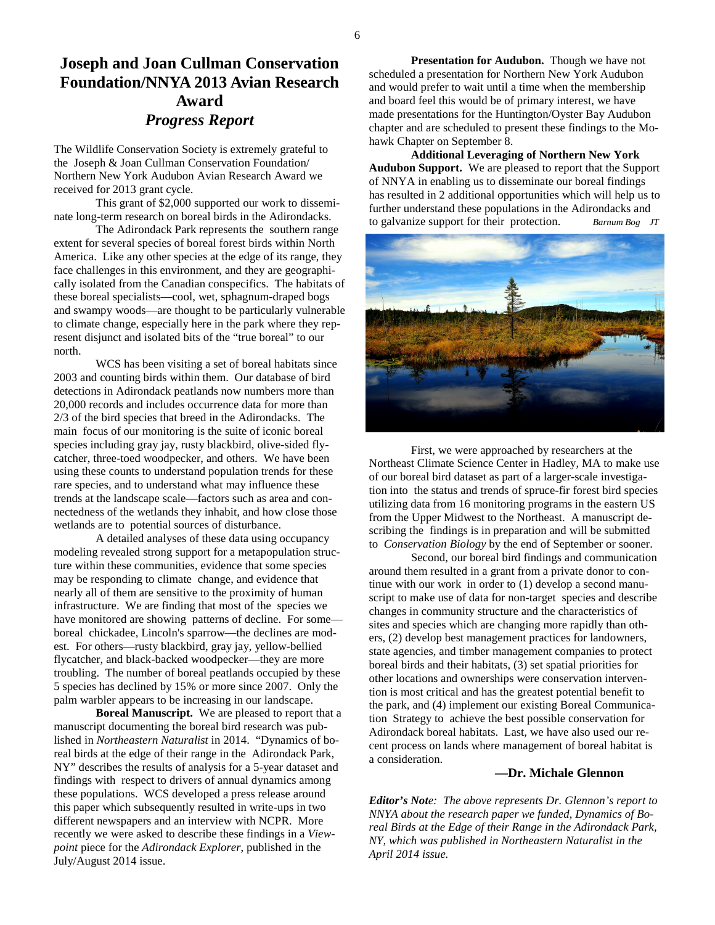## **Joseph and Joan Cullman Conservation Foundation/NNYA 2013 Avian Research Award**  *Progress Report*

The Wildlife Conservation Society is extremely grateful to the Joseph & Joan Cullman Conservation Foundation/ Northern New York Audubon Avian Research Award we received for 2013 grant cycle.

 This grant of \$2,000 supported our work to disseminate long-term research on boreal birds in the Adirondacks.

 The Adirondack Park represents the southern range extent for several species of boreal forest birds within North America. Like any other species at the edge of its range, they face challenges in this environment, and they are geographically isolated from the Canadian conspecifics. The habitats of these boreal specialists—cool, wet, sphagnum-draped bogs and swampy woods—are thought to be particularly vulnerable to climate change, especially here in the park where they represent disjunct and isolated bits of the "true boreal" to our north.

 WCS has been visiting a set of boreal habitats since 2003 and counting birds within them. Our database of bird detections in Adirondack peatlands now numbers more than 20,000 records and includes occurrence data for more than 2/3 of the bird species that breed in the Adirondacks. The main focus of our monitoring is the suite of iconic boreal species including gray jay, rusty blackbird, olive-sided flycatcher, three-toed woodpecker, and others. We have been using these counts to understand population trends for these rare species, and to understand what may influence these trends at the landscape scale—factors such as area and connectedness of the wetlands they inhabit, and how close those wetlands are to potential sources of disturbance.

 A detailed analyses of these data using occupancy modeling revealed strong support for a metapopulation structure within these communities, evidence that some species may be responding to climate change, and evidence that nearly all of them are sensitive to the proximity of human infrastructure. We are finding that most of the species we have monitored are showing patterns of decline. For some boreal chickadee, Lincoln's sparrow—the declines are modest. For others—rusty blackbird, gray jay, yellow-bellied flycatcher, and black-backed woodpecker—they are more troubling. The number of boreal peatlands occupied by these 5 species has declined by 15% or more since 2007. Only the palm warbler appears to be increasing in our landscape.

**Boreal Manuscript.** We are pleased to report that a manuscript documenting the boreal bird research was published in *Northeastern Naturalist* in 2014. "Dynamics of boreal birds at the edge of their range in the Adirondack Park, NY" describes the results of analysis for a 5-year dataset and findings with respect to drivers of annual dynamics among these populations. WCS developed a press release around this paper which subsequently resulted in write-ups in two different newspapers and an interview with NCPR. More recently we were asked to describe these findings in a *Viewpoint* piece for the *Adirondack Explorer*, published in the July/August 2014 issue.

 **Presentation for Audubon.** Though we have not scheduled a presentation for Northern New York Audubon and would prefer to wait until a time when the membership and board feel this would be of primary interest, we have made presentations for the Huntington/Oyster Bay Audubon chapter and are scheduled to present these findings to the Mohawk Chapter on September 8.

**Additional Leveraging of Northern New York Audubon Support.** We are pleased to report that the Support of NNYA in enabling us to disseminate our boreal findings has resulted in 2 additional opportunities which will help us to further understand these populations in the Adirondacks and to galvanize support for their protection. *Barnum Bog JT*



 First, we were approached by researchers at the Northeast Climate Science Center in Hadley, MA to make use of our boreal bird dataset as part of a larger-scale investigation into the status and trends of spruce-fir forest bird species utilizing data from 16 monitoring programs in the eastern US from the Upper Midwest to the Northeast. A manuscript describing the findings is in preparation and will be submitted to *Conservation Biology* by the end of September or sooner.

 Second, our boreal bird findings and communication around them resulted in a grant from a private donor to continue with our work in order to (1) develop a second manuscript to make use of data for non-target species and describe changes in community structure and the characteristics of sites and species which are changing more rapidly than others, (2) develop best management practices for landowners, state agencies, and timber management companies to protect boreal birds and their habitats, (3) set spatial priorities for other locations and ownerships were conservation intervention is most critical and has the greatest potential benefit to the park, and (4) implement our existing Boreal Communication Strategy to achieve the best possible conservation for Adirondack boreal habitats. Last, we have also used our recent process on lands where management of boreal habitat is a consideration.

#### **—Dr. Michale Glennon**

*Editor's Note: The above represents Dr. Glennon's report to NNYA about the research paper we funded, Dynamics of Boreal Birds at the Edge of their Range in the Adirondack Park, NY, which was published in Northeastern Naturalist in the April 2014 issue.*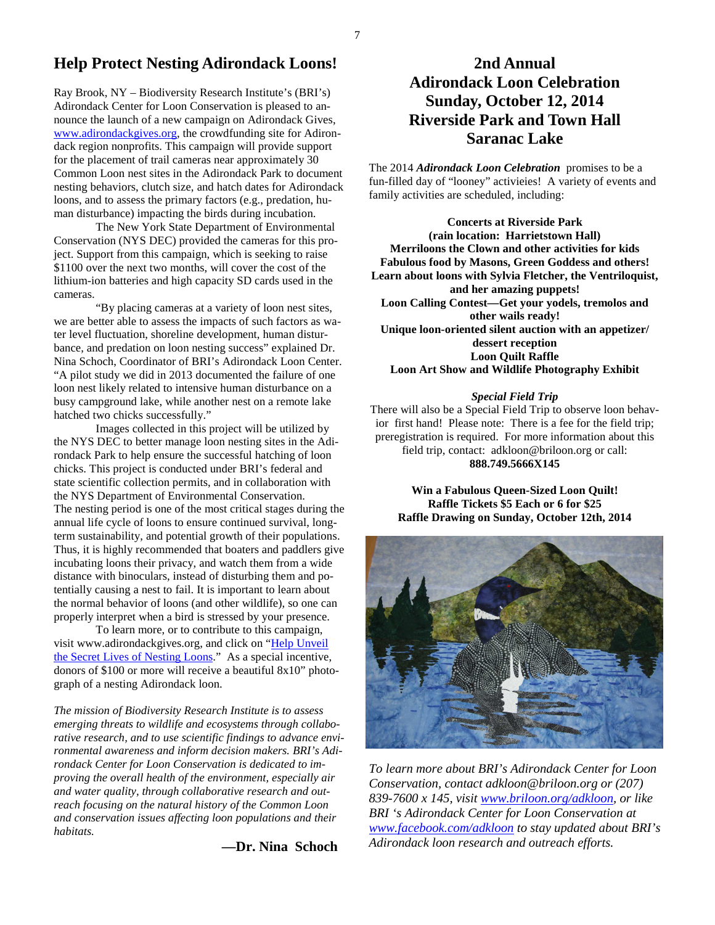## **Help Protect Nesting Adirondack Loons!**

Ray Brook, NY – Biodiversity Research Institute's (BRI's) Adirondack Center for Loon Conservation is pleased to announce the launch of a new campaign on Adirondack Gives, www.adirondackgives.org, the crowdfunding site for Adirondack region nonprofits. This campaign will provide support for the placement of trail cameras near approximately 30 Common Loon nest sites in the Adirondack Park to document nesting behaviors, clutch size, and hatch dates for Adirondack loons, and to assess the primary factors (e.g., predation, human disturbance) impacting the birds during incubation.

The New York State Department of Environmental Conservation (NYS DEC) provided the cameras for this project. Support from this campaign, which is seeking to raise \$1100 over the next two months, will cover the cost of the lithium-ion batteries and high capacity SD cards used in the cameras.

"By placing cameras at a variety of loon nest sites, we are better able to assess the impacts of such factors as water level fluctuation, shoreline development, human disturbance, and predation on loon nesting success" explained Dr. Nina Schoch, Coordinator of BRI's Adirondack Loon Center. "A pilot study we did in 2013 documented the failure of one loon nest likely related to intensive human disturbance on a busy campground lake, while another nest on a remote lake hatched two chicks successfully."

Images collected in this project will be utilized by the NYS DEC to better manage loon nesting sites in the Adirondack Park to help ensure the successful hatching of loon chicks. This project is conducted under BRI's federal and state scientific collection permits, and in collaboration with the NYS Department of Environmental Conservation. The nesting period is one of the most critical stages during the annual life cycle of loons to ensure continued survival, longterm sustainability, and potential growth of their populations. Thus, it is highly recommended that boaters and paddlers give incubating loons their privacy, and watch them from a wide distance with binoculars, instead of disturbing them and potentially causing a nest to fail. It is important to learn about the normal behavior of loons (and other wildlife), so one can properly interpret when a bird is stressed by your presence.

To learn more, or to contribute to this campaign, visit www.adirondackgives.org, and click on "Help Unveil the Secret Lives of Nesting Loons." As a special incentive, donors of \$100 or more will receive a beautiful 8x10" photograph of a nesting Adirondack loon.

*The mission of Biodiversity Research Institute is to assess emerging threats to wildlife and ecosystems through collaborative research, and to use scientific findings to advance environmental awareness and inform decision makers. BRI's Adirondack Center for Loon Conservation is dedicated to improving the overall health of the environment, especially air and water quality, through collaborative research and outreach focusing on the natural history of the Common Loon and conservation issues affecting loon populations and their habitats.* 

 **—Dr. Nina Schoch** 

## **2nd Annual Adirondack Loon Celebration Sunday, October 12, 2014 Riverside Park and Town Hall Saranac Lake**

The 2014 *Adirondack Loon Celebration* promises to be a fun-filled day of "looney" activieies! A variety of events and family activities are scheduled, including:

**Concerts at Riverside Park (rain location: Harrietstown Hall) Merriloons the Clown and other activities for kids Fabulous food by Masons, Green Goddess and others! Learn about loons with Sylvia Fletcher, the Ventriloquist, and her amazing puppets! Loon Calling Contest—Get your yodels, tremolos and other wails ready! Unique loon-oriented silent auction with an appetizer/ dessert reception Loon Quilt Raffle Loon Art Show and Wildlife Photography Exhibit**

#### *Special Field Trip*

There will also be a Special Field Trip to observe loon behavior first hand! Please note: There is a fee for the field trip; preregistration is required. For more information about this field trip, contact: adkloon@briloon.org or call: **888.749.5666X145** 

**Win a Fabulous Queen-Sized Loon Quilt! Raffle Tickets \$5 Each or 6 for \$25 Raffle Drawing on Sunday, October 12th, 2014** 



*To learn more about BRI's Adirondack Center for Loon Conservation, contact adkloon@briloon.org or (207) 839-7600 x 145, visit www.briloon.org/adkloon, or like BRI 's Adirondack Center for Loon Conservation at www.facebook.com/adkloon to stay updated about BRI's Adirondack loon research and outreach efforts.*